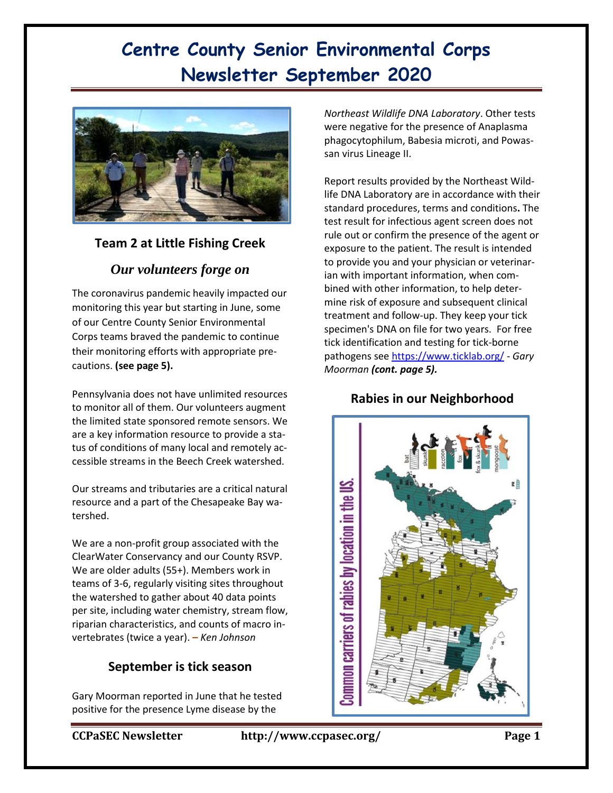

## **Team 2 at Little Fishing Creek**

## *Our volunteers forge on*

The coronavirus pandemic heavily impacted our monitoring this year but starting in June, some of our Centre County Senior Environmental Corps teams braved the pandemic to continue their monitoring efforts with appropriate precautions. **(see page 5).**

Pennsylvania does not have unlimited resources to monitor all of them. Our volunteers augment the limited state sponsored remote sensors. We are a key information resource to provide a status of conditions of many local and remotely accessible streams in the Beech Creek watershed.

Our streams and tributaries are a critical natural resource and a part of the Chesapeake Bay watershed.

We are a non-profit group associated with the ClearWater Conservancy and our County RSVP. We are older adults (55+). Members work in teams of 3-6, regularly visiting sites throughout the watershed to gather about 40 data points per site, including water chemistry, stream flow, riparian characteristics, and counts of macro invertebrates (twice a year). *– Ken Johnson*

### **September is tick season**

Gary Moorman reported in June that he tested positive for the presence Lyme disease by the

*Northeast Wildlife DNA Laboratory*. Other tests were negative for the presence of Anaplasma phagocytophilum, Babesia microti, and Powassan virus Lineage II.

Report results provided by the Northeast Wildlife DNA Laboratory are in accordance with their standard procedures, terms and conditions**.** The test result for infectious agent screen does not rule out or confirm the presence of the agent or exposure to the patient. The result is intended to provide you and your physician or veterinarian with important information, when combined with other information, to help determine risk of exposure and subsequent clinical treatment and follow-up. They keep your tick specimen's DNA on file for two years. For free tick identification and testing for tick-borne pathogens see<https://www.ticklab.org/> - *Gary Moorman (cont. page 5).*

### **Rabies in our Neighborhood**

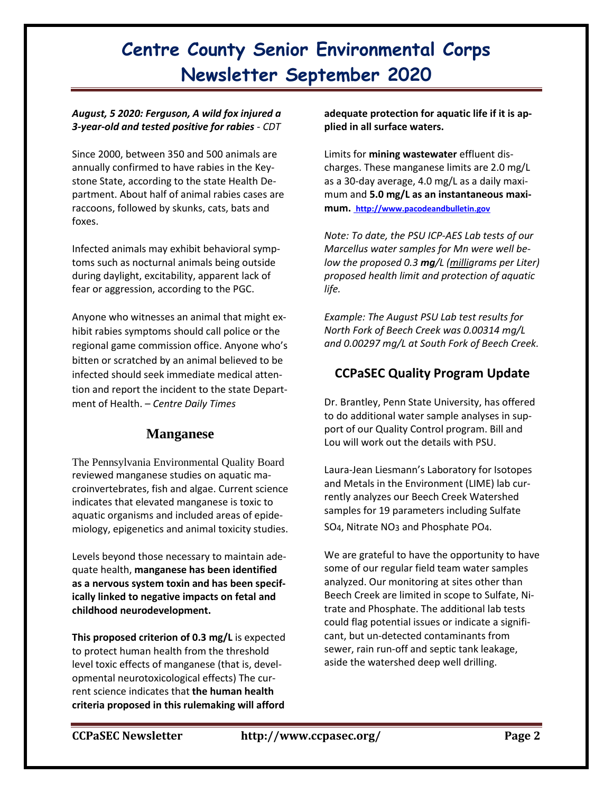### *August, 5 2020: Ferguson, A wild fox injured a 3-year-old and tested positive for rabies* - *CDT*

Since 2000, between 350 and 500 animals are annually confirmed to have rabies in the Keystone State, according to the state Health Department. About half of animal rabies cases are raccoons, followed by skunks, cats, bats and foxes.

Infected animals may exhibit [behavioral symp](https://www.pa.gov/guides/foodborne-animal-transmitted-illnesses/#Rabies)[toms s](https://www.pa.gov/guides/foodborne-animal-transmitted-illnesses/#Rabies)uch as nocturnal animals being outside during daylight, excitability, apparent lack of fear or aggression, according to the PGC.

Anyone who witnesses an animal that might exhibit rabies symptoms should call police or the regional game commission office. Anyone who's bitten or scratched by an animal believed to be infected should seek immediate medical attention and report the incident to the state Department of Health. – *Centre Daily Times*

## **Manganese**

The Pennsylvania Environmental Quality Board reviewed manganese studies on aquatic macroinvertebrates, fish and algae. Current science indicates that elevated manganese is toxic to aquatic organisms and included areas of epidemiology, epigenetics and animal toxicity studies.

Levels beyond those necessary to maintain adequate health, **manganese has been identified as a nervous system toxin and has been specifically linked to negative impacts on fetal and childhood neurodevelopment.**

**This proposed criterion of 0.3 mg/L** is expected to protect human health from the threshold level toxic effects of manganese (that is, developmental neurotoxicological effects) The current science indicates that **the human health criteria proposed in this rulemaking will afford** 

**adequate protection for aquatic life if it is applied in all surface waters.**

Limits for **mining wastewater** effluent discharges. These manganese limits are 2.0 mg/L as a 30-day average, 4.0 mg/L as a daily maximum and **5.0 mg/L as an instantaneous maximum. [http://www.pacodeandbulletin.gov](http://www.pacodeandbulletin.gov/)**

*Note: To date, the PSU ICP-AES Lab tests of our Marcellus water samples for Mn were well below the proposed 0.3 mg/L (milligrams per Liter) proposed health limit and protection of aquatic life.*

*Example: The August PSU Lab test results for North Fork of Beech Creek was 0.00314 mg/L and 0.00297 mg/L at South Fork of Beech Creek.*

## **CCPaSEC Quality Program Update**

Dr. Brantley, Penn State University, has offered to do additional water sample analyses in support of our Quality Control program. Bill and Lou will work out the details with PSU.

Laura-Jean Liesmann's Laboratory for Isotopes and Metals in the Environment (LIME) lab currently analyzes our Beech Creek Watershed samples for 19 parameters including Sulfate SO<sub>4</sub>, Nitrate NO<sub>3</sub> and Phosphate PO<sub>4</sub>.

We are grateful to have the opportunity to have some of our regular field team water samples analyzed. Our monitoring at sites other than Beech Creek are limited in scope to Sulfate, Nitrate and Phosphate. The additional lab tests could flag potential issues or indicate a significant, but un-detected contaminants from sewer, rain run-off and septic tank leakage, aside the watershed deep well drilling.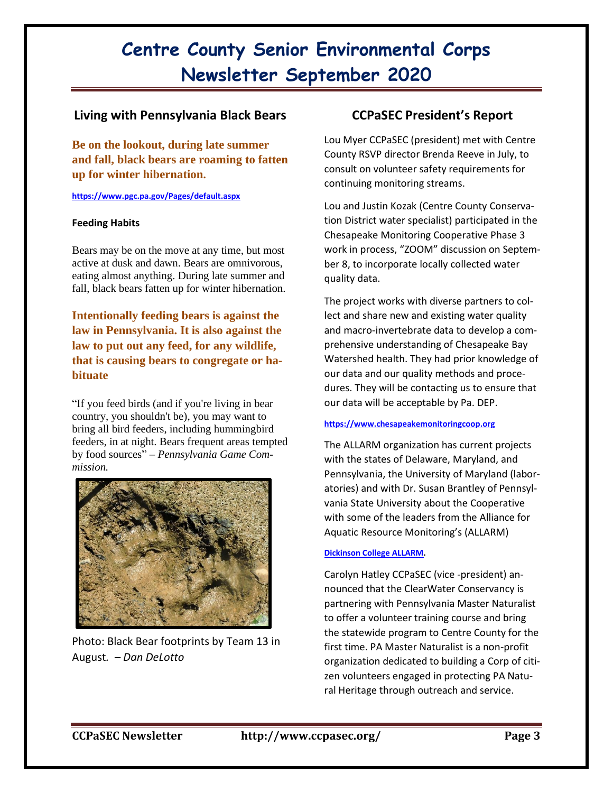### **Living with Pennsylvania Black Bears**

**Be on the lookout, during late summer and fall, black bears are roaming to fatten up for winter hibernation.**

**https://www.pgc.pa.gov/Pages/default.aspx** 

#### **Feeding Habits**

Bears may be on the move at any time, but most active at dusk and dawn. Bears are omnivorous, eating almost anything. During late summer and fall, black bears fatten up for winter hibernation.

**Intentionally feeding bears is against the law in Pennsylvania. It is also against the law to put out any feed, for any wildlife, that is causing bears to congregate or habituate** 

"If you feed birds (and if you're living in bear country, you shouldn't be), you may want to bring all bird feeders, including hummingbird feeders, in at night. Bears frequent areas tempted by food sources" – *Pennsylvania Game Commission.*



Photo: Black Bear footprints by Team 13 in August*. – Dan DeLotto*

### **CCPaSEC President's Report**

Lou Myer CCPaSEC (president) met with Centre County RSVP director Brenda Reeve in July, to consult on volunteer safety requirements for continuing monitoring streams.

Lou and Justin Kozak (Centre County Conservation District water specialist) participated in the Chesapeake Monitoring Cooperative Phase 3 work in process, "ZOOM" discussion on September 8, to incorporate locally collected water quality data.

The project works with diverse partners to collect and share new and existing water quality and macro-invertebrate data to develop a comprehensive understanding of Chesapeake Bay Watershed health. They had prior knowledge of our data and our quality methods and procedures. They will be contacting us to ensure that our data will be acceptable by Pa. DEP.

### **[https://www.chesapeakemonitoringcoop.org](https://www.chesapeakemonitoringcoop.org/)**

The ALLARM organization has current projects with the states of Delaware, Maryland, and Pennsylvania, the University of Maryland (laboratories) and with Dr. Susan Brantley of Pennsylvania State University about the Cooperative with some of the leaders from the Alliance for Aquatic Resource Monitoring's (ALLARM)

#### **[Dickinson College ALLARM.](https://www.dickinson.edu/Allarm)**

Carolyn Hatley CCPaSEC (vice -president) announced that the ClearWater Conservancy is partnering with Pennsylvania Master Naturalist to offer a volunteer training course and bring the statewide program to Centre County for the first time. PA Master Naturalist is a non-profit organization dedicated to building a Corp of citizen volunteers engaged in protecting PA Natural Heritage through outreach and service.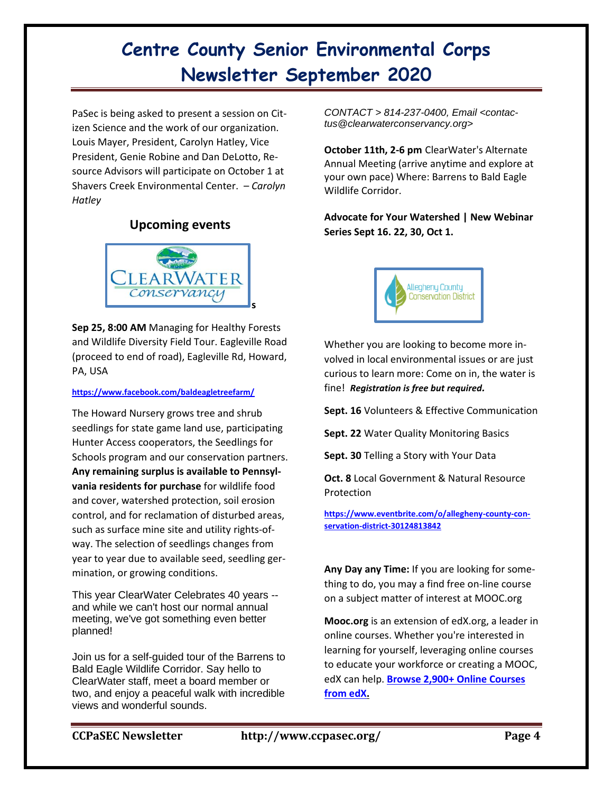PaSec is being asked to present a session on Citizen Science and the work of our organization. Louis Mayer, President, Carolyn Hatley, Vice President, Genie Robine and Dan DeLotto, Resource Advisors will participate on October 1 at Shavers Creek Environmental Center. – *Carolyn Hatley*

### **Upcoming events**



**Sep 25, 8:00 AM** Managing for Healthy Forests and Wildlife Diversity Field Tour. Eagleville Road (proceed to end of road), Eagleville Rd, Howard, PA, USA

#### **<https://www.facebook.com/baldeagletreefarm/>**

The Howard Nursery grows tree and shrub seedlings for state game land use, participating Hunter Access cooperators, the Seedlings for Schools program and our conservation partners. **Any remaining surplus is available to Pennsylvania residents for purchase** for wildlife food and cover, watershed protection, soil erosion control, and for reclamation of disturbed areas, such as surface mine site and utility rights-ofway. The selection of seedlings changes from year to year due to available seed, seedling germination, or growing conditions.

This year ClearWater Celebrates 40 years - and while we can't host our normal annual meeting, we've got something even better planned!

Join us for a self-guided tour of the Barrens to Bald Eagle Wildlife Corridor. Say hello to ClearWater staff, meet a board member or two, and enjoy a peaceful walk with incredible views and wonderful sounds.

*CONTACT > 814-237-0400, Email <contactus@clearwaterconservancy.org>*

**October 11th, 2-6 pm** ClearWater's Alternate Annual Meeting (arrive anytime and explore at your own pace) Where: Barrens to Bald Eagle Wildlife Corridor.

**Advocate for Your Watershed | New Webinar Series Sept 16. 22, 30, Oct 1.**



Whether you are looking to become more involved in local environmental issues or are just curious to learn more: Come on in, the water is fine! *Registration is free but required.*

**Sept. 16** Volunteers & Effective Communication

**Sept. 22** Water Quality Monitoring Basics

**Sept. 30** Telling a Story with Your Data

**Oct. 8** Local Government & Natural Resource Protection

**https://www.eventbrite.com/o/allegheny-county-conservation-district-30124813842**

**Any Day any Time:** If you are looking for something to do, you may a find free on-line course on a subject matter of interest at MOOC.org

**Mooc.org** is an extension of edX.org, a leader in online courses. Whether you're interested in learning for yourself, leveraging online courses to educate your workforce or creating a MOOC, edX can help. **[Browse 2,900+ Online Courses](https://www.edx.org/course?utm_source=mooc.org&utm_medium=landing-page&utm_campaign=mooc-About%20MOOCs)  [from edX.](https://www.edx.org/course?utm_source=mooc.org&utm_medium=landing-page&utm_campaign=mooc-About%20MOOCs)**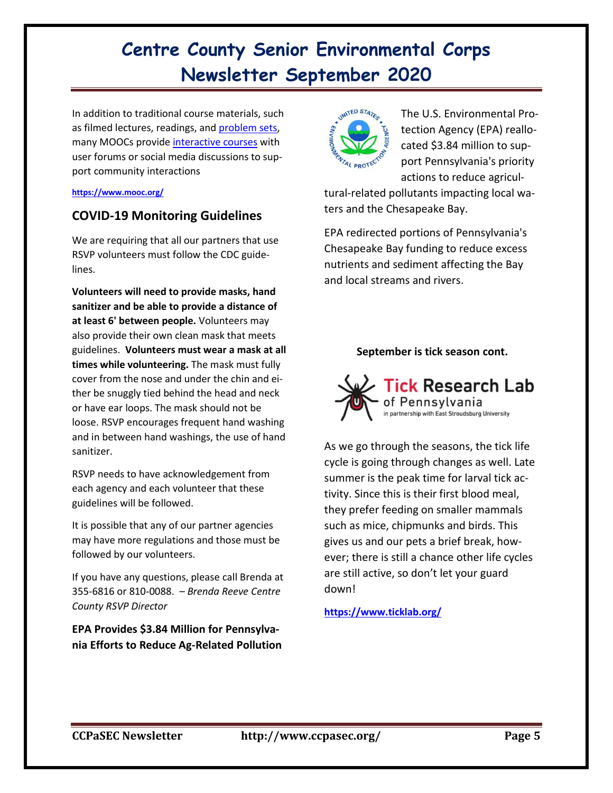In addition to traditional course materials, such as filmed lectures, readings, and [problem sets,](https://en.wikipedia.org/wiki/Problem_set) many MOOCs provide [interactive courses](https://en.wikipedia.org/wiki/Interactive_course) with user forums or social media discussions to support community interactions

### **<https://www.mooc.org/>**

## **COVID-19 Monitoring Guidelines**

We are requiring that all our partners that use RSVP volunteers must follow the CDC guidelines.

**Volunteers will need to provide masks, hand sanitizer and be able to provide a distance of at least 6' between people.** Volunteers may also provide their own clean mask that meets guidelines. **Volunteers must wear a mask at all times while volunteering.** The mask must fully cover from the nose and under the chin and either be snuggly tied behind the head and neck or have ear loops. The mask should not be loose. RSVP encourages frequent hand washing and in between hand washings, the use of hand sanitizer.

RSVP needs to have acknowledgement from each agency and each volunteer that these guidelines will be followed.

It is possible that any of our partner agencies may have more regulations and those must be followed by our volunteers.

If you have any questions, please call Brenda at 355-6816 or 810-0088. – *Brenda Reeve Centre County RSVP Director*

**EPA Provides \$3.84 Million for Pennsylvania Efforts to Reduce Ag-Related Pollution**



The U.S. Environmental Protection Agency (EPA) reallocated \$3.84 million to support Pennsylvania's priority actions to reduce agricul-

tural-related pollutants impacting local waters and the Chesapeake Bay.

EPA redirected portions of Pennsylvania's Chesapeake Bay funding to reduce excess nutrients and sediment affecting the Bay and local streams and rivers.

### **September is tick season cont.**



As we go through the seasons, the tick life cycle is going through changes as well. Late summer is the peak time for larval tick activity. Since this is their first blood meal, they prefer feeding on smaller mammals such as mice, chipmunks and birds. This gives us and our pets a brief break, however; there is still a chance other life cycles are still active, so don't let your guard down!

**<https://www.ticklab.org/>**